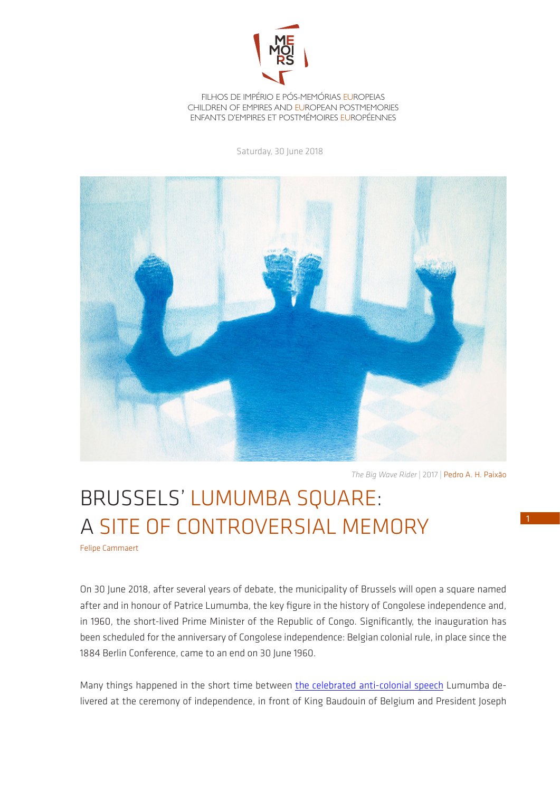

FILHOS DE IMPÉRIO E PÓS-MEMÓRIAS EUROPEIAS CHILDREN OF EMPIRES AND EUROPEAN POSTMEMORIES ENFANTS D'EMPIRES ET POSTMÉMOIRES EUROPÉENNES

Saturday, 30 June 2018



*The Big Wave Rider* | 2017 | Pedro A. H. Paixão

## BRUSSELS' LUMUMBA SQUARE: A SITE OF CONTROVERSIAL MEMORY

Felipe Cammaert

On 30 June 2018, after several years of debate, the municipality of Brussels will open a square named after and in honour of Patrice Lumumba, the key figure in the history of Congolese independence and, in 1960, the short-lived Prime Minister of the Republic of Congo. Significantly, the inauguration has been scheduled for the anniversary of Congolese independence: Belgian colonial rule, in place since the 1884 Berlin Conference, came to an end on 30 June 1960.

Many things happened in the short time between [the celebrated anti-colonial speech](http://www.jeuneafrique.com/242104/politique/rdc-55-ans-apres-le-discours-de-patrice-emery-lumumba-pour-lindependance/) Lumumba delivered at the ceremony of independence, in front of King Baudouin of Belgium and President Joseph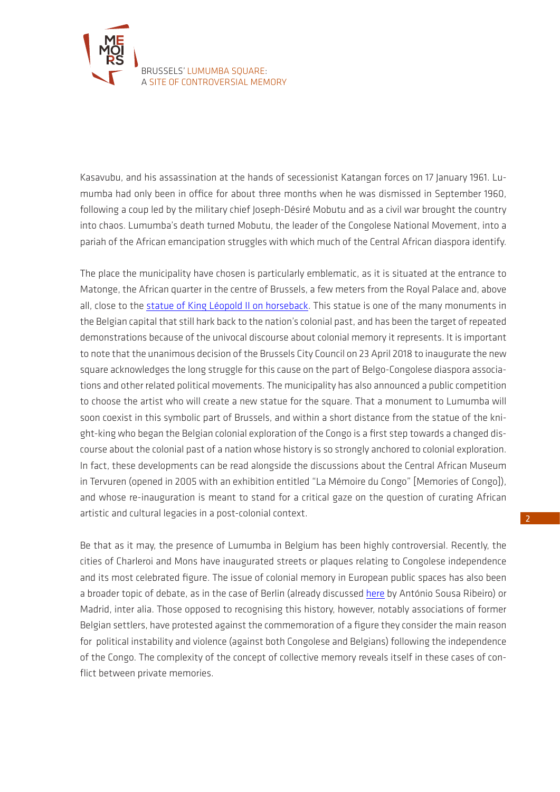

Kasavubu, and his assassination at the hands of secessionist Katangan forces on 17 January 1961. Lumumba had only been in office for about three months when he was dismissed in September 1960, following a coup led by the military chief Joseph-Désiré Mobutu and as a civil war brought the country into chaos. Lumumba's death turned Mobutu, the leader of the Congolese National Movement, into a pariah of the African emancipation struggles with which much of the Central African diaspora identify.

The place the municipality have chosen is particularly emblematic, as it is situated at the entrance to Matonge, the African quarter in the centre of Brussels, a few meters from the Royal Palace and, above all, close to the [statue of King Léopold II on horseback.](https://www.google.pt/maps/place/Monument+L%C3%A9opold+2/@50.8404913,4.3643934,15z/data=!4m12!1m6!3m5!1s0x0:0x8ca0b22d05040d75!2sMonument+L%C3%A9opold+2!8m2!3d50.8404913!4d4.3643933!3m4!1s0x0:0x8ca0b22d05040d75!8m2!3d50.8404913!4d4.3643933) This statue is one of the many monuments in the Belgian capital that still hark back to the nation's colonial past, and has been the target of repeated demonstrations because of the univocal discourse about colonial memory it represents. It is important to note that the unanimous decision of the Brussels City Council on 23 April 2018 to inaugurate the new square acknowledges the long struggle for this cause on the part of Belgo-Congolese diaspora associations and other related political movements. The municipality has also announced a public competition to choose the artist who will create a new statue for the square. That a monument to Lumumba will soon coexist in this symbolic part of Brussels, and within a short distance from the statue of the knight-king who began the Belgian colonial exploration of the Congo is a first step towards a changed discourse about the colonial past of a nation whose history is so strongly anchored to colonial exploration. In fact, these developments can be read alongside the discussions about the Central African Museum in Tervuren (opened in 2005 with an exhibition entitled "La Mémoire du Congo" [Memories of Congo]), and whose re-inauguration is meant to stand for a critical gaze on the question of curating African artistic and cultural legacies in a post-colonial context.

Be that as it may, the presence of Lumumba in Belgium has been highly controversial. Recently, the cities of Charleroi and Mons have inaugurated streets or plaques relating to Congolese independence and its most celebrated figure. The issue of colonial memory in European public spaces has also been a broader topic of debate, as in the case of Berlin (already discussed [here](https://mailchi.mp/35b8b9a74d99/memoirs-newsletter-1c?e=%5BUNIQID%5D) by António Sousa Ribeiro) or Madrid, inter alia. Those opposed to recognising this history, however, notably associations of former Belgian settlers, have protested against the commemoration of a figure they consider the main reason for political instability and violence (against both Congolese and Belgians) following the independence of the Congo. The complexity of the concept of collective memory reveals itself in these cases of conflict between private memories.